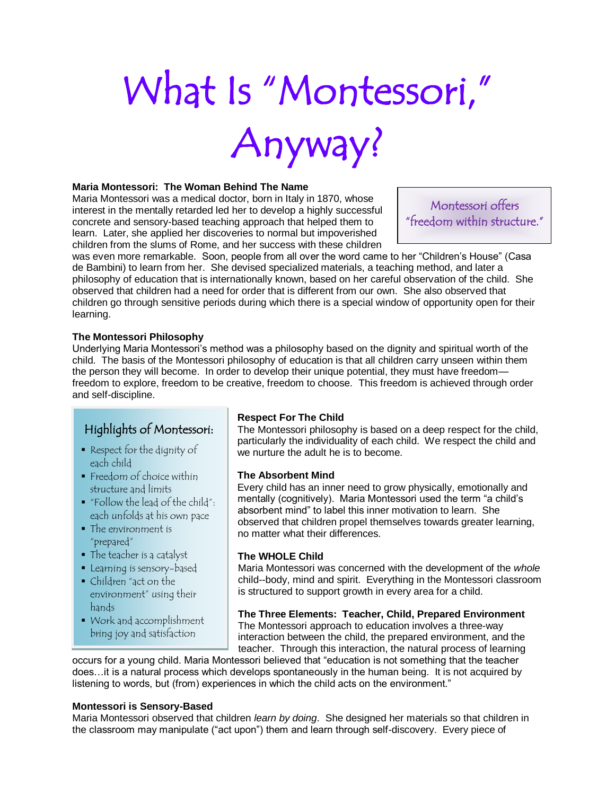# What Is "Montessori," Anyway?

#### **Maria Montessori: The Woman Behind The Name**

Maria Montessori was a medical doctor, born in Italy in 1870, whose interest in the mentally retarded led her to develop a highly successful concrete and sensory-based teaching approach that helped them to learn. Later, she applied her discoveries to normal but impoverished children from the slums of Rome, and her success with these children

Montessori offers "freedom within structure."

was even more remarkable. Soon, people from all over the word came to her "Children's House" (Casa de Bambini) to learn from her. She devised specialized materials, a teaching method, and later a philosophy of education that is internationally known, based on her careful observation of the child. She observed that children had a need for order that is different from our own. She also observed that children go through sensitive periods during which there is a special window of opportunity open for their learning.

#### **The Montessori Philosophy**

Underlying Maria Montessori's method was a philosophy based on the dignity and spiritual worth of the child. The basis of the Montessori philosophy of education is that all children carry unseen within them the person they will become. In order to develop their unique potential, they must have freedom freedom to explore, freedom to be creative, freedom to choose. This freedom is achieved through order and self-discipline.

#### Highlights of Montessori:

- Respect for the dignity of each child
- Freedom of choice within structure and limits
- "Follow the lead of the child": each unfolds at his own pace
- The environment is "prepared"
- The teacher is a catalyst
- **Learning is sensory-based**
- Children "act on the environment" using their hands
- Work and accomplishment bring joy and satisfaction

#### **Respect For The Child**

The Montessori philosophy is based on a deep respect for the child, particularly the individuality of each child. We respect the child and we nurture the adult he is to become.

#### **The Absorbent Mind**

Every child has an inner need to grow physically, emotionally and mentally (cognitively). Maria Montessori used the term "a child's absorbent mind" to label this inner motivation to learn. She observed that children propel themselves towards greater learning, no matter what their differences.

#### **The WHOLE Child**

Maria Montessori was concerned with the development of the *whole* child--body, mind and spirit. Everything in the Montessori classroom is structured to support growth in every area for a child.

**The Three Elements: Teacher, Child, Prepared Environment** The Montessori approach to education involves a three-way interaction between the child, the prepared environment, and the teacher. Through this interaction, the natural process of learning

occurs for a young child. Maria Montessori believed that "education is not something that the teacher does…it is a natural process which develops spontaneously in the human being. It is not acquired by listening to words, but (from) experiences in which the child acts on the environment."

#### **Montessori is Sensory-Based**

Maria Montessori observed that children *learn by doing*. She designed her materials so that children in the classroom may manipulate ("act upon") them and learn through self-discovery. Every piece of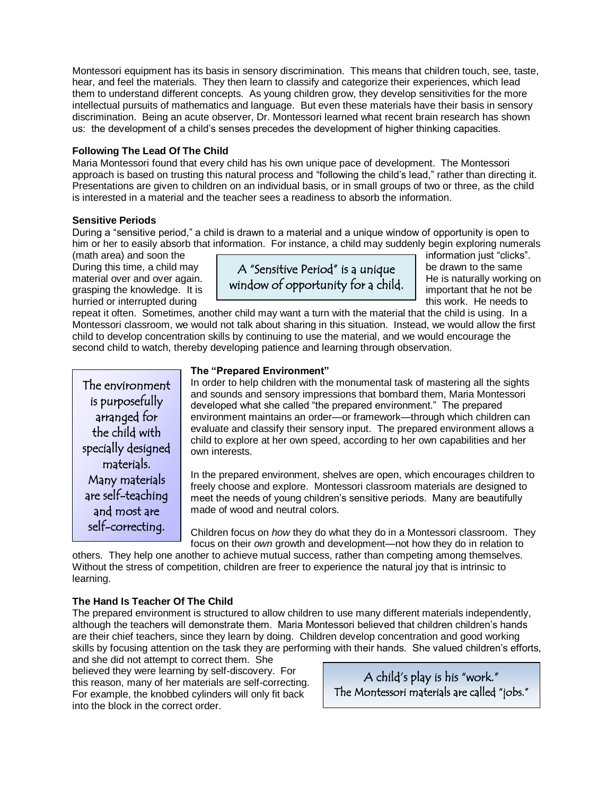Montessori equipment has its basis in sensory discrimination. This means that children touch, see, taste, hear, and feel the materials. They then learn to classify and categorize their experiences, which lead them to understand different concepts. As young children grow, they develop sensitivities for the more intellectual pursuits of mathematics and language. But even these materials have their basis in sensory discrimination. Being an acute observer, Dr. Montessori learned what recent brain research has shown us: the development of a child's senses precedes the development of higher thinking capacities.

#### **Following The Lead Of The Child**

Maria Montessori found that every child has his own unique pace of development. The Montessori approach is based on trusting this natural process and "following the child's lead," rather than directing it. Presentations are given to children on an individual basis, or in small groups of two or three, as the child is interested in a material and the teacher sees a readiness to absorb the information.

#### **Sensitive Periods**

During a "sensitive period," a child is drawn to a material and a unique window of opportunity is open to him or her to easily absorb that information. For instance, a child may suddenly begin exploring numerals

(math area) and soon the information just "clicks". hurried or interrupted during the state of this work. He needs to



repeat it often. Sometimes, another child may want a turn with the material that the child is using. In a Montessori classroom, we would not talk about sharing in this situation. Instead, we would allow the first child to develop concentration skills by continuing to use the material, and we would encourage the second child to watch, thereby developing patience and learning through observation.

The environment is purposefully arranged for the child with specially designed materials. Many materials are self-teaching and most are self-correcting.

#### **The "Prepared Environment"**

In order to help children with the monumental task of mastering all the sights and sounds and sensory impressions that bombard them, Maria Montessori developed what she called "the prepared environment." The prepared environment maintains an order—or framework—through which children can evaluate and classify their sensory input. The prepared environment allows a child to explore at her own speed, according to her own capabilities and her own interests.

In the prepared environment, shelves are open, which encourages children to freely choose and explore. Montessori classroom materials are designed to meet the needs of young children's sensitive periods. Many are beautifully made of wood and neutral colors.

Children focus on *how* they do what they do in a Montessori classroom. They focus on their *own* growth and development—not how they do in relation to

others. They help one another to achieve mutual success, rather than competing among themselves. Without the stress of competition, children are freer to experience the natural joy that is intrinsic to learning.

#### **The Hand Is Teacher Of The Child**

The prepared environment is structured to allow children to use many different materials independently, although the teachers will demonstrate them. Maria Montessori believed that children children's hands are their chief teachers, since they learn by doing. Children develop concentration and good working skills by focusing attention on the task they are performing with their hands. She valued children's efforts,

and she did not attempt to correct them. She believed they were learning by self-discovery. For this reason, many of her materials are self-correcting. For example, the knobbed cylinders will only fit back into the block in the correct order.

A child's play is his "work." The Montessori materials are called "jobs."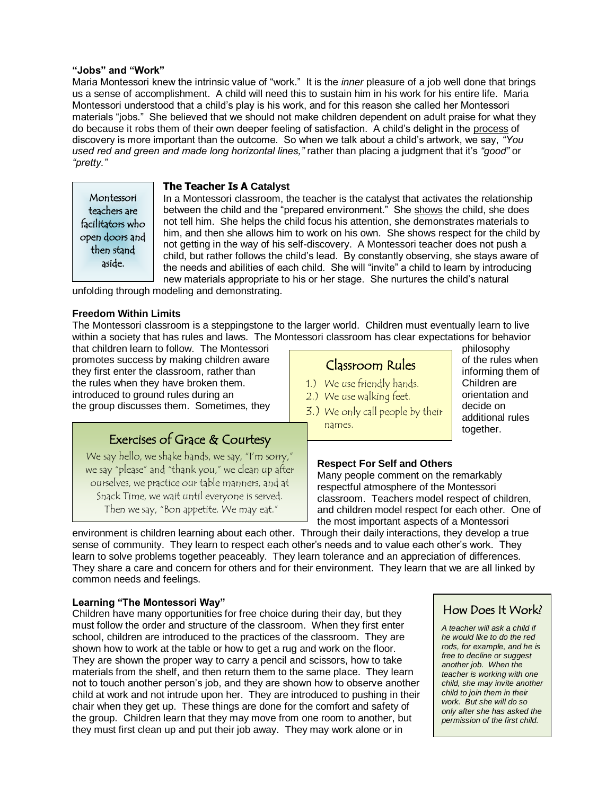#### **"Jobs" and "Work"**

Maria Montessori knew the intrinsic value of "work." It is the *inner* pleasure of a job well done that brings us a sense of accomplishment. A child will need this to sustain him in his work for his entire life. Maria Montessori understood that a child's play is his work, and for this reason she called her Montessori materials "jobs." She believed that we should not make children dependent on adult praise for what they do because it robs them of their own deeper feeling of satisfaction. A child's delight in the process of discovery is more important than the outcome. So when we talk about a child's artwork, we say, *"You used red and green and made long horizontal lines,"* rather than placing a judgment that it's *"good"* or *"pretty."*

Montessori teachers are facilitators who open doors and then stand aside.

#### **The Teacher Is A Catalyst**

In a Montessori classroom, the teacher is the catalyst that activates the relationship between the child and the "prepared environment." She shows the child, she does not tell him. She helps the child focus his attention, she demonstrates materials to him, and then she allows him to work on his own. She shows respect for the child by not getting in the way of his self-discovery. A Montessori teacher does not push a child, but rather follows the child's lead. By constantly observing, she stays aware of the needs and abilities of each child. She will "invite" a child to learn by introducing new materials appropriate to his or her stage. She nurtures the child's natural

unfolding through modeling and demonstrating.

#### **Freedom Within Limits**

The Montessori classroom is a steppingstone to the larger world. Children must eventually learn to live within a society that has rules and laws. The Montessori classroom has clear expectations for behavior

that children learn to follow. The Montessori **produces and the montest of the Montessori** philosophy promotes success by making children aware  $\overline{C}$   $C_1$   $C_2$   $C_3$   $D_4$   $D_5$   $D_6$  of the rules when they first enter the classroom, rather than informing them of the rules when they have broken them. Children are introduced to ground rules during an  $\begin{vmatrix} 2 \\ \end{vmatrix}$  We use walking feet orientation and the group discusses them. Sometimes, they decide  $\frac{1}{2}$  and  $\frac{1}{2}$  and  $\frac{1}{2}$  and  $\frac{1}{2}$  decide on

#### 1.) We use friendly hands.

- 2.) We use walking feet.
- 3.) We only call people by their names.

Classroom Rules

additional rules together.

#### Exercises of Grace & Courtesy

We say hello, we shake hands, we say, "I'm sorry," we say "please" and "thank you," we clean up after ourselves, we practice our table manners, and at Snack Time, we wait until everyone is served. Then we say, "Bon appetite. We may eat."

#### **Respect For Self and Others**

Many people comment on the remarkably respectful atmosphere of the Montessori classroom. Teachers model respect of children, and children model respect for each other. One of the most important aspects of a Montessori

environment is children learning about each other. Through their daily interactions, they develop a true sense of community. They learn to respect each other's needs and to value each other's work. They learn to solve problems together peaceably. They learn tolerance and an appreciation of differences. They share a care and concern for others and for their environment. They learn that we are all linked by common needs and feelings.

#### **Learning "The Montessori Way"**

Children have many opportunities for free choice during their day, but they must follow the order and structure of the classroom. When they first enter school, children are introduced to the practices of the classroom. They are shown how to work at the table or how to get a rug and work on the floor. They are shown the proper way to carry a pencil and scissors, how to take materials from the shelf, and then return them to the same place. They learn not to touch another person's job, and they are shown how to observe another child at work and not intrude upon her. They are introduced to pushing in their chair when they get up. These things are done for the comfort and safety of the group. Children learn that they may move from one room to another, but they must first clean up and put their job away. They may work alone or in

#### How Does It Work?

*A teacher will ask a child if he would like to do the red rods, for example, and he is free to decline or suggest another job. When the teacher is working with one child, she may invite another child to join them in their work. But she will do so only after she has asked the permission of the first child.*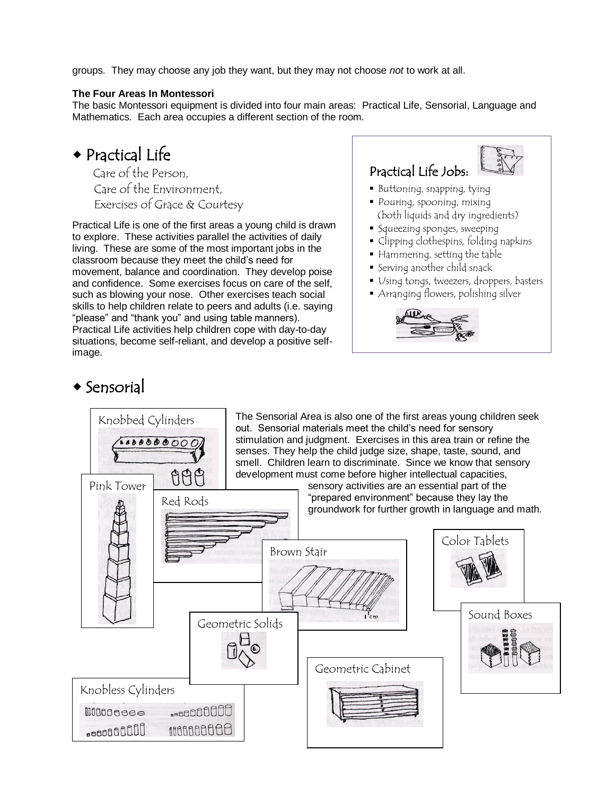groups. They may choose any job they want, but they may not choose *not* to work at all.

#### **The Four Areas In Montessori**

The basic Montessori equipment is divided into four main areas: Practical Life, Sensorial, Language and Mathematics. Each area occupies a different section of the room.

# Practical Life

 Care of the Person, Care of the Environment, Exercises of Grace & Courtesy

Practical Life is one of the first areas a young child is drawn to explore. These activities parallel the activities of daily living. These are some of the most important jobs in the classroom because they meet the child's need for movement, balance and coordination. They develop poise and confidence. Some exercises focus on care of the self, such as blowing your nose. Other exercises teach social skills to help children relate to peers and adults (i.e. saying "please" and "thank you" and using table manners). Practical Life activities help children cope with day-to-day situations, become self-reliant, and develop a positive selfimage.

# Practical Life Jobs:

- Buttoning, snapping, tying
- Pouring, spooning, mixing (both liquids and dry ingredients)
- **Squeezing sponges, sweeping**
- Clipping clothespins, folding napkins
- Hammering, setting the table
- Serving another child snack
- Using tongs, tweezers, droppers, basters
- Arranging flowers, polishing silver



## $\triangle$  Sensorial

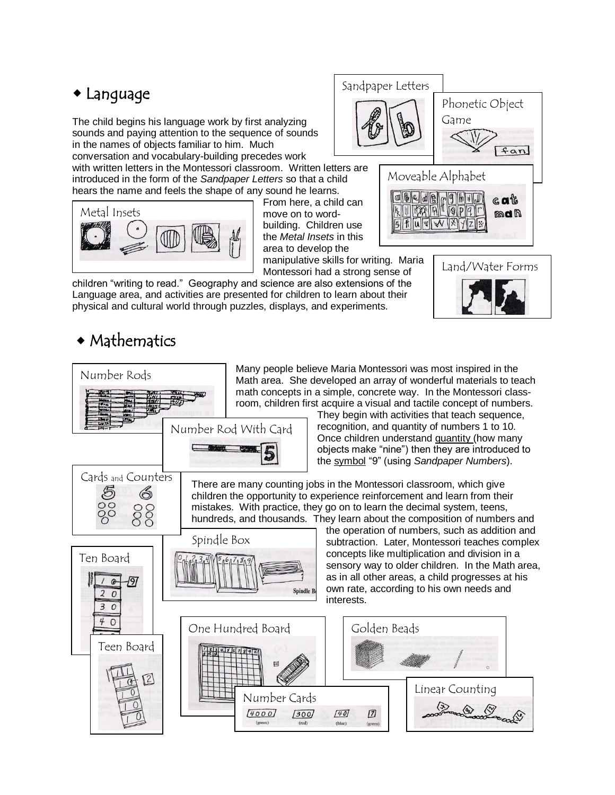# Language

The child begins his language work by first analyzing sounds and paying attention to the sequence of sounds in the names of objects familiar to him. Much conversation and vocabulary-building precedes work

with written letters in the Montessori classroom. Written letters are introduced in the form of the *Sandpaper Letters* so that a child hears the name and feels the shape of any sound he learns.



From here, a child can move on to wordbuilding. Children use the *Metal Insets* in this area to develop the manipulative skills for writing. Maria

Montessori had a strong sense of



Sandpaper Letters

children "writing to read." Geography and science are also extensions of the Language area, and activities are presented for children to learn about their physical and cultural world through puzzles, displays, and experiments.

# Mathematics





Phonetic Object

Game